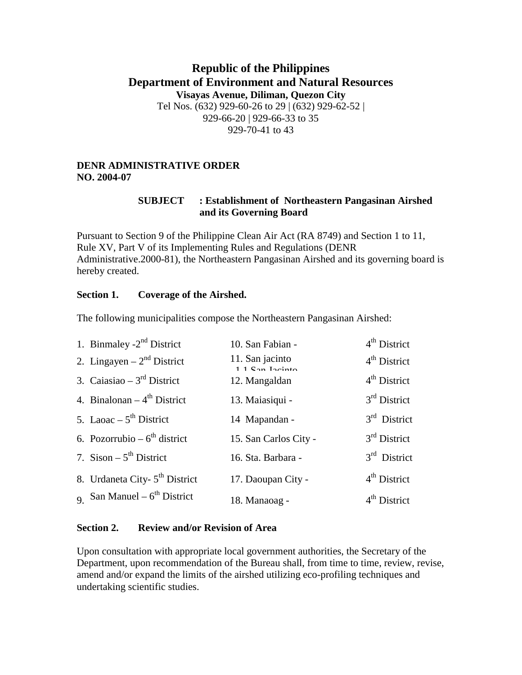# **Republic of the Philippines Department of Environment and Natural Resources Visayas Avenue, Diliman, Quezon City**  Tel Nos. (632) 929-60-26 to 29 | (632) 929-62-52 | 929-66-20 | 929-66-33 to 35 929-70-41 to 43

#### **DENR ADMINISTRATIVE ORDER NO. 2004-07**

### **SUBJECT : Establishment of Northeastern Pangasinan Airshed and its Governing Board**

Pursuant to Section 9 of the Philippine Clean Air Act (RA 8749) and Section 1 to 11, Rule XV, Part V of its Implementing Rules and Regulations (DENR Administrative.2000-81), the Northeastern Pangasinan Airshed and its governing board is hereby created.

#### **Section 1. Coverage of the Airshed.**

The following municipalities compose the Northeastern Pangasinan Airshed:

| 1. Binmaley -2 <sup>nd</sup> District      | 10. San Fabian -                                                                               | $4th$ District |
|--------------------------------------------|------------------------------------------------------------------------------------------------|----------------|
| 2. Lingayen – $2nd$ District               | 11. San jacinto<br>$1.1$ $\mathrm{Can}$ $\mathrm{I}$ <sub>201</sub> <sub>11</sub> <sub>0</sub> | $4th$ District |
| 3. Caiasiao – $3rd$ District               | 12. Mangaldan                                                                                  | $4th$ District |
| 4. Binalonan $-4$ <sup>th</sup> District   | 13. Maiasiqui -                                                                                | $3rd$ District |
| 5. Laoac $-5^{\text{th}}$ District         | 14 Mapandan -                                                                                  | $3rd$ District |
| 6. Pozorrubio – $6^{\text{th}}$ district   | 15. San Carlos City -                                                                          | $3rd$ District |
| 7. Sison $-5^{\text{th}}$ District         | 16. Sta. Barbara -                                                                             | $3rd$ District |
| 8. Urdaneta City- 5 <sup>th</sup> District | 17. Daoupan City -                                                                             | $4th$ District |
| 9 San Manuel – $6^{th}$ District           | 18. Manaoag -                                                                                  | $4th$ District |

#### **Section 2. Review and/or Revision of Area**

Upon consultation with appropriate local government authorities, the Secretary of the Department, upon recommendation of the Bureau shall, from time to time, review, revise, amend and/or expand the limits of the airshed utilizing eco-profiling techniques and undertaking scientific studies.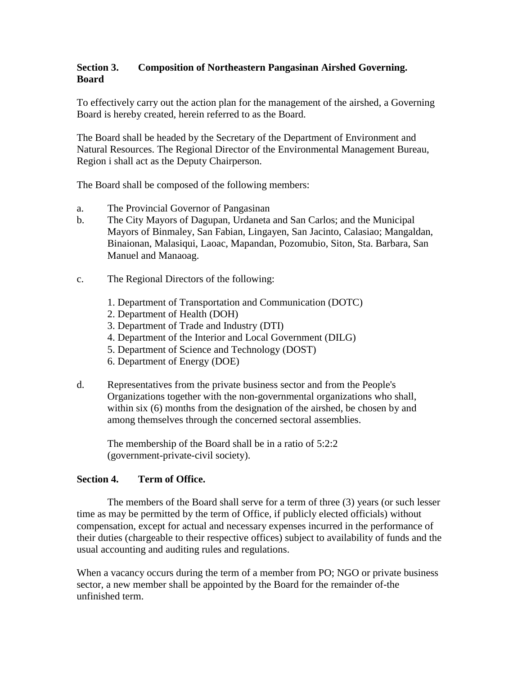## **Section 3. Composition of Northeastern Pangasinan Airshed Governing. Board**

To effectively carry out the action plan for the management of the airshed, a Governing Board is hereby created, herein referred to as the Board.

The Board shall be headed by the Secretary of the Department of Environment and Natural Resources. The Regional Director of the Environmental Management Bureau, Region i shall act as the Deputy Chairperson.

The Board shall be composed of the following members:

- a. The Provincial Governor of Pangasinan
- b. The City Mayors of Dagupan, Urdaneta and San Carlos; and the Municipal Mayors of Binmaley, San Fabian, Lingayen, San Jacinto, Calasiao; Mangaldan, Binaionan, Malasiqui, Laoac, Mapandan, Pozomubio, Siton, Sta. Barbara, San Manuel and Manaoag.
- c. The Regional Directors of the following:
	- 1. Department of Transportation and Communication (DOTC)
	- 2. Department of Health (DOH)
	- 3. Department of Trade and Industry (DTI)
	- 4. Department of the Interior and Local Government (DILG)
	- 5. Department of Science and Technology (DOST)
	- 6. Department of Energy (DOE)
- d. Representatives from the private business sector and from the People's Organizations together with the non-governmental organizations who shall, within six (6) months from the designation of the airshed, be chosen by and among themselves through the concerned sectoral assemblies.

The membership of the Board shall be in a ratio of 5:2:2 (government-private-civil society).

## **Section 4. Term of Office.**

The members of the Board shall serve for a term of three (3) years (or such lesser time as may be permitted by the term of Office, if publicly elected officials) without compensation, except for actual and necessary expenses incurred in the performance of their duties (chargeable to their respective offices) subject to availability of funds and the usual accounting and auditing rules and regulations.

When a vacancy occurs during the term of a member from PO; NGO or private business sector, a new member shall be appointed by the Board for the remainder of-the unfinished term.